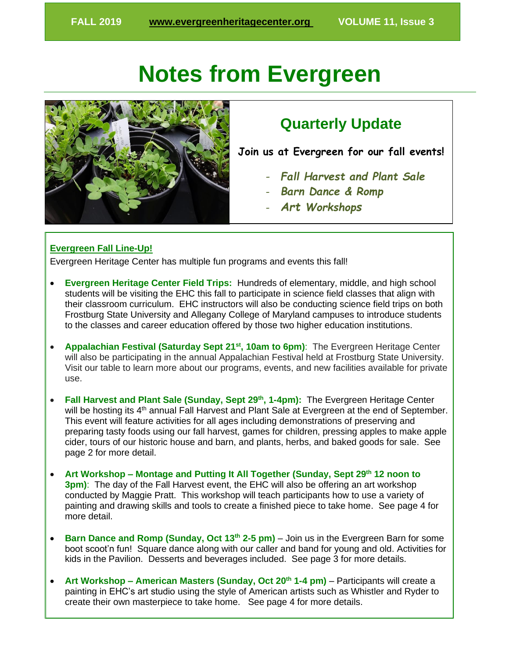# **Notes from Evergreen**



## **Quarterly Update**

**Join us at Evergreen for our fall events!**

- *Fall Harvest and Plant Sale*
- *Barn Dance & Romp*
- *Art Workshops*

#### **Evergreen Fall Line-Up!**

Evergreen Heritage Center has multiple fun programs and events this fall!

- **Evergreen Heritage Center Field Trips:** Hundreds of elementary, middle, and high school students will be visiting the EHC this fall to participate in science field classes that align with their classroom curriculum. EHC instructors will also be conducting science field trips on both Frostburg State University and Allegany College of Maryland campuses to introduce students to the classes and career education offered by those two higher education institutions.
- **Appalachian Festival (Saturday Sept 21st, 10am to 6pm)**: The Evergreen Heritage Center will also be participating in the annual Appalachian Festival held at Frostburg State University. Visit our table to learn more about our programs, events, and new facilities available for private use.
- **Fall Harvest and Plant Sale (Sunday, Sept 29th, 1-4pm):** The Evergreen Heritage Center will be hosting its 4<sup>th</sup> annual Fall Harvest and Plant Sale at Evergreen at the end of September. This event will feature activities for all ages including demonstrations of preserving and preparing tasty foods using our fall harvest, games for children, pressing apples to make apple cider, tours of our historic house and barn, and plants, herbs, and baked goods for sale. See page 2 for more detail.
- **Art Workshop – Montage and Putting It All Together (Sunday, Sept 29th 12 noon to 3pm)**: The day of the Fall Harvest event, the EHC will also be offering an art workshop conducted by Maggie Pratt. This workshop will teach participants how to use a variety of painting and drawing skills and tools to create a finished piece to take home. See page 4 for more detail.
- **Barn Dance and Romp (Sunday, Oct 13th 2-5 pm)**  Join us in the Evergreen Barn for some boot scoot'n fun! Square dance along with our caller and band for young and old. Activities for kids in the Pavilion. Desserts and beverages included. See page 3 for more details.
- **Art Workshop – American Masters (Sunday, Oct 20th 1-4 pm)** Participants will create a painting in EHC's art studio using the style of American artists such as Whistler and Ryder to create their own masterpiece to take home. See page 4 for more details.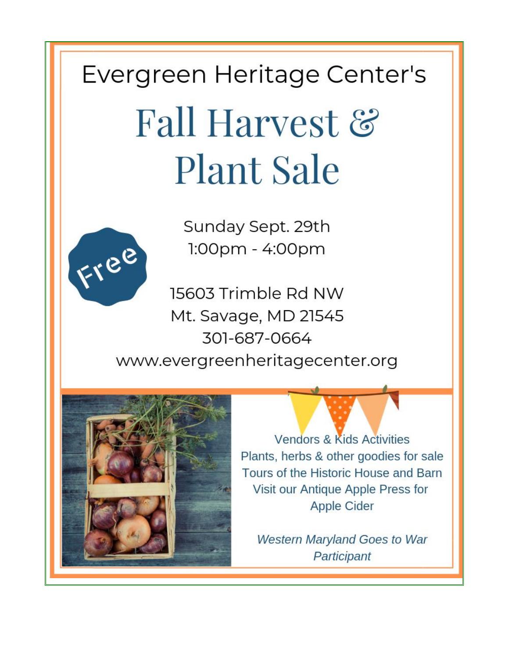Evergreen Heritage Center's

# Fall Harvest & **Plant Sale**



Sunday Sept. 29th 1:00pm - 4:00pm

15603 Trimble Rd NW Mt. Savage, MD 21545 301-687-0664 www.evergreenheritagecenter.org



**Vendors & Kids Activities** Plants, herbs & other goodies for sale Tours of the Historic House and Barn Visit our Antique Apple Press for **Apple Cider** 

**Western Maryland Goes to War** Participant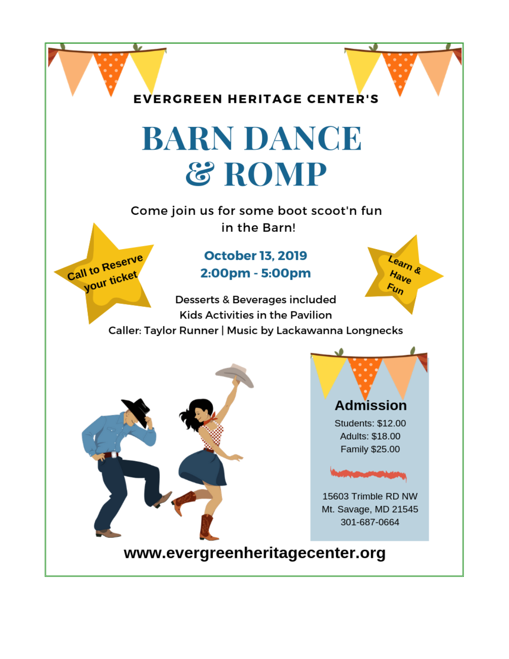